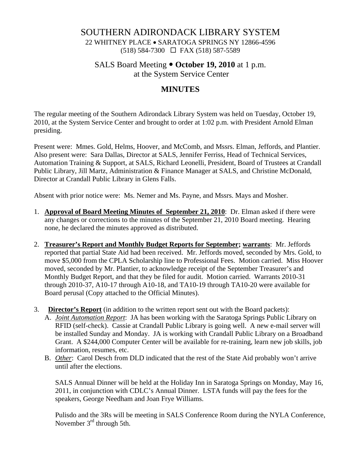### SOUTHERN ADIRONDACK LIBRARY SYSTEM

22 WHITNEY PLACE • SARATOGA SPRINGS NY 12866-4596 (518) 584-7300 FAX (518) 587-5589

SALS Board Meeting  $\bullet$  October 19, 2010 at 1 p.m.

at the System Service Center

# **MINUTES**

The regular meeting of the Southern Adirondack Library System was held on Tuesday, October 19, 2010, at the System Service Center and brought to order at 1:02 p.m. with President Arnold Elman presiding.

Present were: Mmes. Gold, Helms, Hoover, and McComb, and Mssrs. Elman, Jeffords, and Plantier. Also present were: Sara Dallas, Director at SALS, Jennifer Ferriss, Head of Technical Services, Automation Training & Support, at SALS, Richard Leonelli, President, Board of Trustees at Crandall Public Library, Jill Martz, Administration & Finance Manager at SALS, and Christine McDonald, Director at Crandall Public Library in Glens Falls.

Absent with prior notice were: Ms. Nemer and Ms. Payne, and Mssrs. Mays and Mosher.

- 1. **Approval of Board Meeting Minutes of September 21, 2010**: Dr. Elman asked if there were any changes or corrections to the minutes of the September 21, 2010 Board meeting. Hearing none, he declared the minutes approved as distributed.
- 2. **Treasurer's Report and Monthly Budget Reports for September; warrants**: Mr. Jeffords reported that partial State Aid had been received. Mr. Jeffords moved, seconded by Mrs. Gold, to move \$5,000 from the CPLA Scholarship line to Professional Fees. Motion carried. Miss Hoover moved, seconded by Mr. Plantier, to acknowledge receipt of the September Treasurer's and Monthly Budget Report, and that they be filed for audit. Motion carried. Warrants 2010-31 through 2010-37, A10-17 through A10-18, and TA10-19 through TA10-20 were available for Board perusal (Copy attached to the Official Minutes).
- 3. **Director's Report** (in addition to the written report sent out with the Board packets):
	- A. *Joint Automation Report*: JA has been working with the Saratoga Springs Public Library on RFID (self-check). Cassie at Crandall Public Library is going well. A new e-mail server will be installed Sunday and Monday. JA is working with Crandall Public Library on a Broadband Grant. A \$244,000 Computer Center will be available for re-training, learn new job skills, job information, resumes, etc.
	- B. *Other*: Carol Desch from DLD indicated that the rest of the State Aid probably won't arrive until after the elections.

SALS Annual Dinner will be held at the Holiday Inn in Saratoga Springs on Monday, May 16, 2011, in conjunction with CDLC's Annual Dinner. LSTA funds will pay the fees for the speakers, George Needham and Joan Frye Williams.

Pulisdo and the 3Rs will be meeting in SALS Conference Room during the NYLA Conference, November  $3<sup>rd</sup>$  through 5th.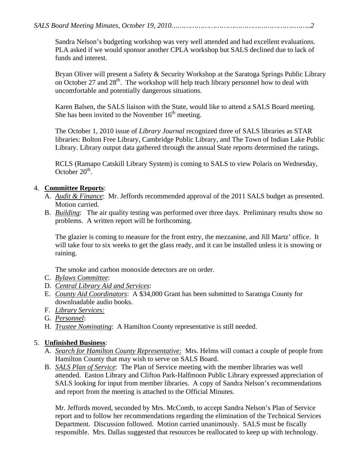Sandra Nelson's budgeting workshop was very well attended and had excellent evaluations. PLA asked if we would sponsor another CPLA workshop but SALS declined due to lack of funds and interest.

Bryan Oliver will present a Safety & Security Workshop at the Saratoga Springs Public Library on October 27 and  $28<sup>th</sup>$ . The workshop will help teach library personnel how to deal with uncomfortable and potentially dangerous situations.

Karen Balsen, the SALS liaison with the State, would like to attend a SALS Board meeting. She has been invited to the November  $16<sup>th</sup>$  meeting.

The October 1, 2010 issue of *Library Journal* recognized three of SALS libraries as STAR libraries: Bolton Free Library, Cambridge Public Library, and The Town of Indian Lake Public Library. Library output data gathered through the annual State reports determined the ratings.

RCLS (Ramapo Catskill Library System) is coming to SALS to view Polaris on Wednesday, October  $20<sup>th</sup>$ .

### 4. **Committee Reports**:

- A. *Audit & Finance*: Mr. Jeffords recommended approval of the 2011 SALS budget as presented. Motion carried.
- B. *Building*: The air quality testing was performed over three days. Preliminary results show no problems. A written report will be forthcoming.

The glazier is coming to measure for the front entry, the mezzanine, and Jill Martz' office. It will take four to six weeks to get the glass ready, and it can be installed unless it is snowing or raining.

The smoke and carbon monoxide detectors are on order.

- C. *Bylaws Committee*:
- D. *Central Library Aid and Services*:
- E. *County Aid Coordinators*: A \$34,000 Grant has been submitted to Saratoga County for downloadable audio books.
- F. *Library Services:*
- G. *Personnel*:
- H. *Trustee Nominating*: A Hamilton County representative is still needed.

# 5. **Unfinished Business**:

- A. *Search for Hamilton County Representative:* Mrs. Helms will contact a couple of people from Hamilton County that may wish to serve on SALS Board.
- B. *SALS Plan of Service*: The Plan of Service meeting with the member libraries was well attended. Easton Library and Clifton Park-Halfmoon Public Library expressed appreciation of SALS looking for input from member libraries. A copy of Sandra Nelson's recommendations and report from the meeting is attached to the Official Minutes.

Mr. Jeffords moved, seconded by Mrs. McComb, to accept Sandra Nelson's Plan of Service report and to follow her recommendations regarding the elimination of the Technical Services Department. Discussion followed. Motion carried unanimously. SALS must be fiscally responsible. Mrs. Dallas suggested that resources be reallocated to keep up with technology.